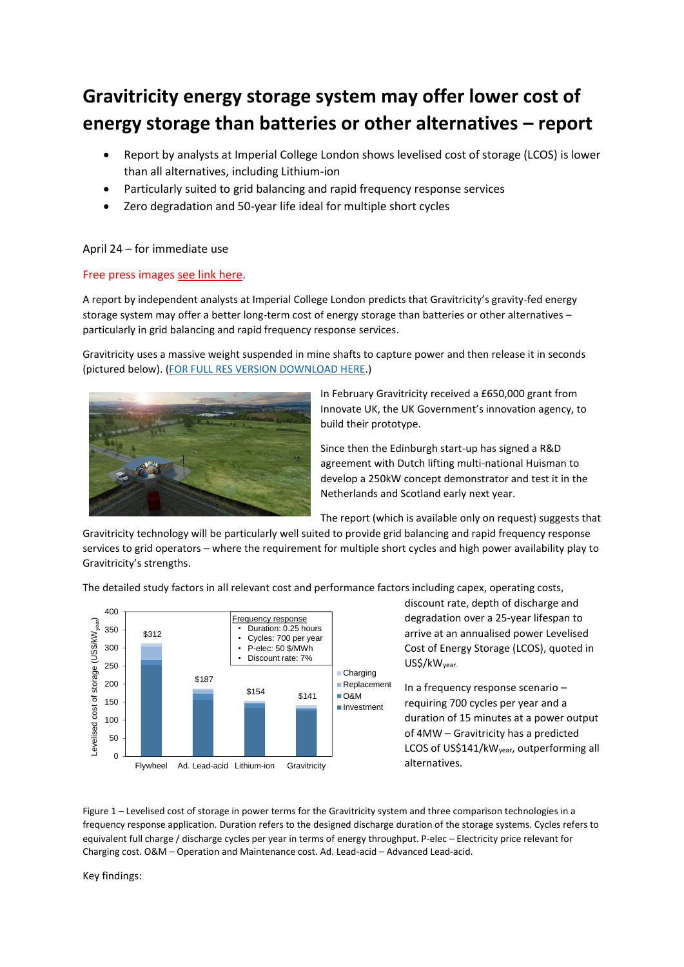# **Gravitricity energy storage system may offer lower cost of energy storage than batteries or other alternatives – report**

- Report by analysts at Imperial College London shows levelised cost of storage (LCOS) is lower than all alternatives, including Lithium-ion
- Particularly suited to grid balancing and rapid frequency response services
- Zero degradation and 50-year life ideal for multiple short cycles

## April 24 – for immediate use

## Free press image[s see link here.](https://www.dropbox.com/sh/svf9ch6h8a43fqx/AADLO0ban_PcPU7eDAEBWOFHa?dl=0)

A report by independent analysts at Imperial College London predicts that Gravitricity's gravity-fed energy storage system may offer a better long-term cost of energy storage than batteries or other alternatives – particularly in grid balancing and rapid frequency response services.

Gravitricity uses a massive weight suspended in mine shafts to capture power and then release it in seconds (pictured below). [\(FOR FULL RES VERSION DOWNLOAD HERE.](https://www.dropbox.com/sh/svf9ch6h8a43fqx/AADLO0ban_PcPU7eDAEBWOFHa?dl=0))



In February Gravitricity received a £650,000 grant from Innovate UK, the UK Government's innovation agency, to build their prototype.

Since then the Edinburgh start-up has signed a R&D agreement with Dutch lifting multi-national Huisman to develop a 250kW concept demonstrator and test it in the Netherlands and Scotland early next year.

The report (which is available only on request) suggests that

Gravitricity technology will be particularly well suited to provide grid balancing and rapid frequency response services to grid operators – where the requirement for multiple short cycles and high power availability play to Gravitricity's strengths.

The detailed study factors in all relevant cost and performance factors including capex, operating costs,



discount rate, depth of discharge and degradation over a 25-year lifespan to arrive at an annualised power Levelised Cost of Energy Storage (LCOS), quoted in US\$/kWyear.

In a frequency response scenario – requiring 700 cycles per year and a duration of 15 minutes at a power output of 4MW – Gravitricity has a predicted LCOS of US\$141/kWyear, outperforming all alternatives.

Figure 1 – Levelised cost of storage in power terms for the Gravitricity system and three comparison technologies in a frequency response application. Duration refers to the designed discharge duration of the storage systems. Cycles refers to equivalent full charge / discharge cycles per year in terms of energy throughput. P-elec – Electricity price relevant for Charging cost. O&M – Operation and Maintenance cost. Ad. Lead-acid – Advanced Lead-acid.

Key findings: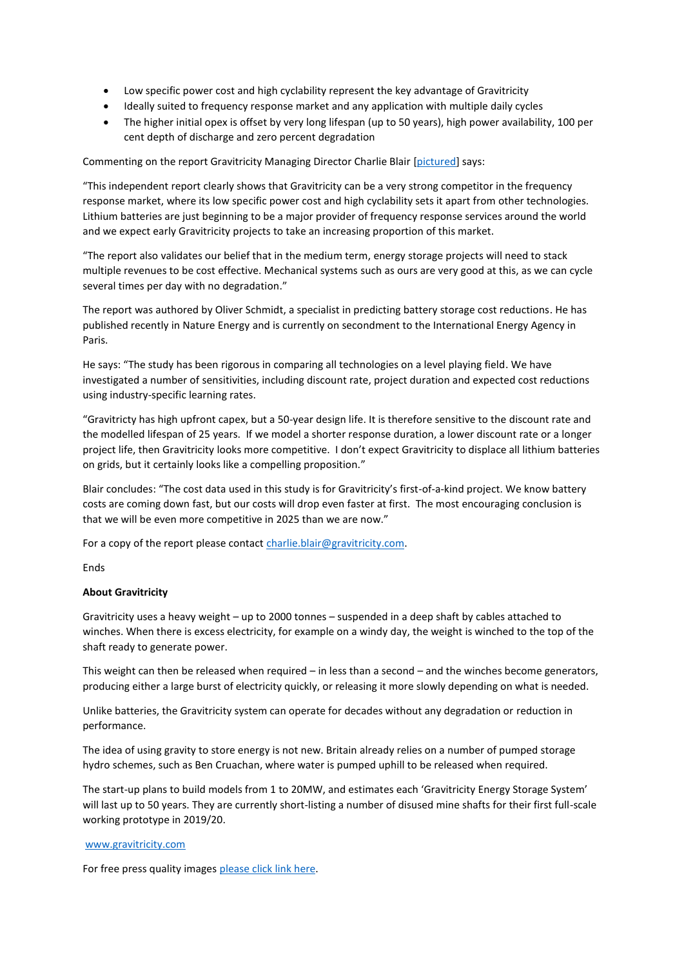- Low specific power cost and high cyclability represent the key advantage of Gravitricity
- Ideally suited to frequency response market and any application with multiple daily cycles
- The higher initial opex is offset by very long lifespan (up to 50 years), high power availability, 100 per cent depth of discharge and zero percent degradation

Commenting on the report Gravitricity Managing Director Charlie Blair [\[pictured\]](https://www.dropbox.com/sh/svf9ch6h8a43fqx/AADLO0ban_PcPU7eDAEBWOFHa?dl=0) says:

"This independent report clearly shows that Gravitricity can be a very strong competitor in the frequency response market, where its low specific power cost and high cyclability sets it apart from other technologies. Lithium batteries are just beginning to be a major provider of frequency response services around the world and we expect early Gravitricity projects to take an increasing proportion of this market.

"The report also validates our belief that in the medium term, energy storage projects will need to stack multiple revenues to be cost effective. Mechanical systems such as ours are very good at this, as we can cycle several times per day with no degradation."

The report was authored by Oliver Schmidt, a specialist in predicting battery storage cost reductions. He has published recently in Nature Energy and is currently on secondment to the International Energy Agency in Paris.

He says: "The study has been rigorous in comparing all technologies on a level playing field. We have investigated a number of sensitivities, including discount rate, project duration and expected cost reductions using industry-specific learning rates.

"Gravitricty has high upfront capex, but a 50-year design life. It is therefore sensitive to the discount rate and the modelled lifespan of 25 years. If we model a shorter response duration, a lower discount rate or a longer project life, then Gravitricity looks more competitive. I don't expect Gravitricity to displace all lithium batteries on grids, but it certainly looks like a compelling proposition."

Blair concludes: "The cost data used in this study is for Gravitricity's first-of-a-kind project. We know battery costs are coming down fast, but our costs will drop even faster at first. The most encouraging conclusion is that we will be even more competitive in 2025 than we are now."

For a copy of the report please contact [charlie.blair@gravitricity.com.](mailto:charlie.blair@gravitricity.com)

Ends

### **About Gravitricity**

Gravitricity uses a heavy weight – up to 2000 tonnes – suspended in a deep shaft by cables attached to winches. When there is excess electricity, for example on a windy day, the weight is winched to the top of the shaft ready to generate power.

This weight can then be released when required – in less than a second – and the winches become generators, producing either a large burst of electricity quickly, or releasing it more slowly depending on what is needed.

Unlike batteries, the Gravitricity system can operate for decades without any degradation or reduction in performance.

The idea of using gravity to store energy is not new. Britain already relies on a number of pumped storage hydro schemes, such as Ben Cruachan, where water is pumped uphill to be released when required.

The start-up plans to build models from 1 to 20MW, and estimates each 'Gravitricity Energy Storage System' will last up to 50 years. They are currently short-listing a number of disused mine shafts for their first full-scale working prototype in 2019/20.

### [www.gravitricity.com](http://www.gravitricity.com/)

For free press quality images [please click link here.](https://www.dropbox.com/sh/svf9ch6h8a43fqx/AADLO0ban_PcPU7eDAEBWOFHa?dl=0)